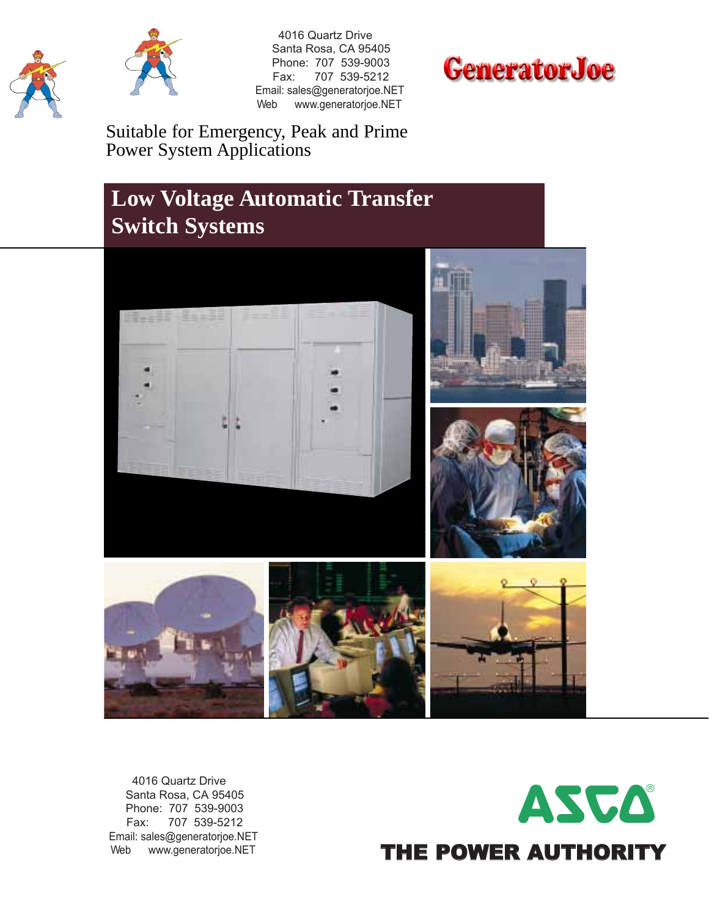



 4016 Quartz Drive Santa Rosa, CA 95405 Phone: 707 539-9003 Fax: 707 539-5212 Email: sales@generatorjoe.NET Web www.generatorjoe.NET



Suitable for Emergency, Peak and Prime Power System Applications

### **Low Voltage Automatic Transfer Switch Systems**



 4016 Quartz Drive Santa Rosa, CA 95405 Phone: 707 539-9003 Fax: 707 539-5212 Email: sales@generatorjoe.NET Web www.generatorjoe.NET

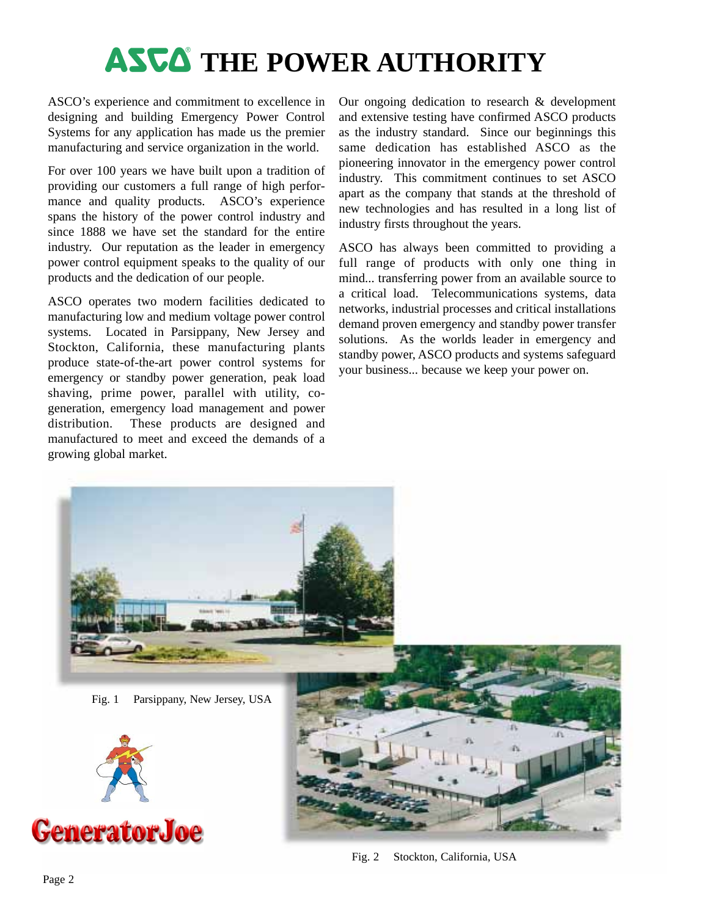# **ASCA** THE POWER AUTHORITY

ASCO's experience and commitment to excellence in designing and building Emergency Power Control Systems for any application has made us the premier manufacturing and service organization in the world.

For over 100 years we have built upon a tradition of providing our customers a full range of high performance and quality products. ASCO's experience spans the history of the power control industry and since 1888 we have set the standard for the entire industry. Our reputation as the leader in emergency power control equipment speaks to the quality of our products and the dedication of our people.

ASCO operates two modern facilities dedicated to manufacturing low and medium voltage power control systems. Located in Parsippany, New Jersey and Stockton, California, these manufacturing plants produce state-of-the-art power control systems for emergency or standby power generation, peak load shaving, prime power, parallel with utility, cogeneration, emergency load management and power distribution. These products are designed and manufactured to meet and exceed the demands of a growing global market.

Our ongoing dedication to research & development and extensive testing have confirmed ASCO products as the industry standard. Since our beginnings this same dedication has established ASCO as the pioneering innovator in the emergency power control industry. This commitment continues to set ASCO apart as the company that stands at the threshold of new technologies and has resulted in a long list of industry firsts throughout the years.

ASCO has always been committed to providing a full range of products with only one thing in mind... transferring power from an available source to a critical load. Telecommunications systems, data networks, industrial processes and critical installations demand proven emergency and standby power transfer solutions. As the worlds leader in emergency and standby power, ASCO products and systems safeguard your business... because we keep your power on.



Fig. 2 Stockton, California, USA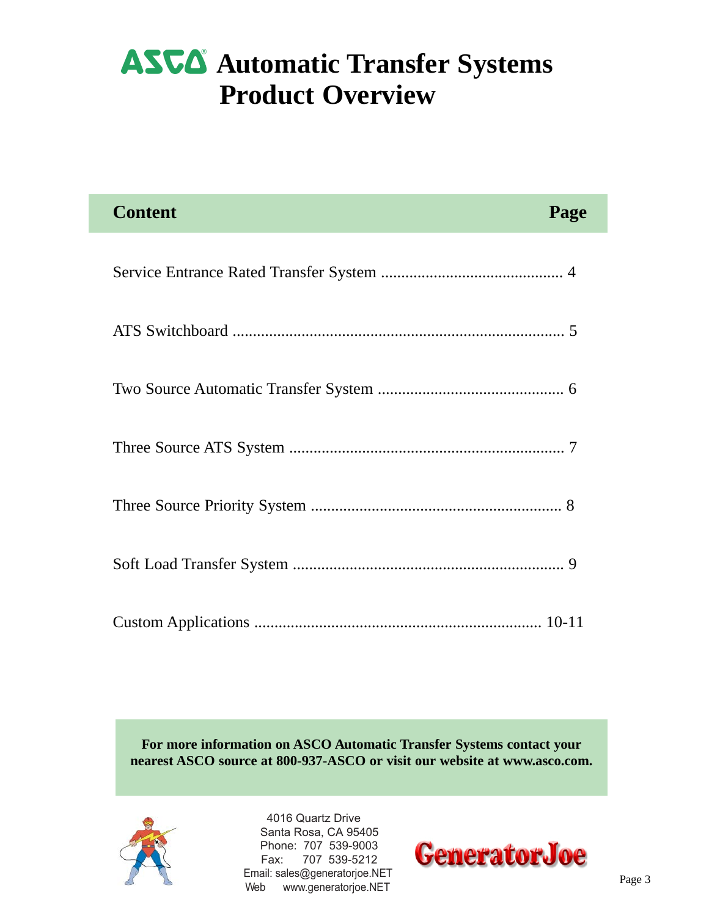### **ASUA** Automatic Transfer Systems **Product Overview**

| <b>Content</b><br>Page |
|------------------------|
|                        |
|                        |
|                        |
|                        |
|                        |
|                        |
|                        |

**For more information on ASCO Automatic Transfer Systems contact your nearest ASCO source at 800-937-ASCO or visit our website at www.asco.com.**



 4016 Quartz Drive Santa Rosa, CA 95405 Phone: 707 539-9003 Fax: 707 539-5212 Email: sales@generatorjoe.NET Web www.generatorjoe.NET

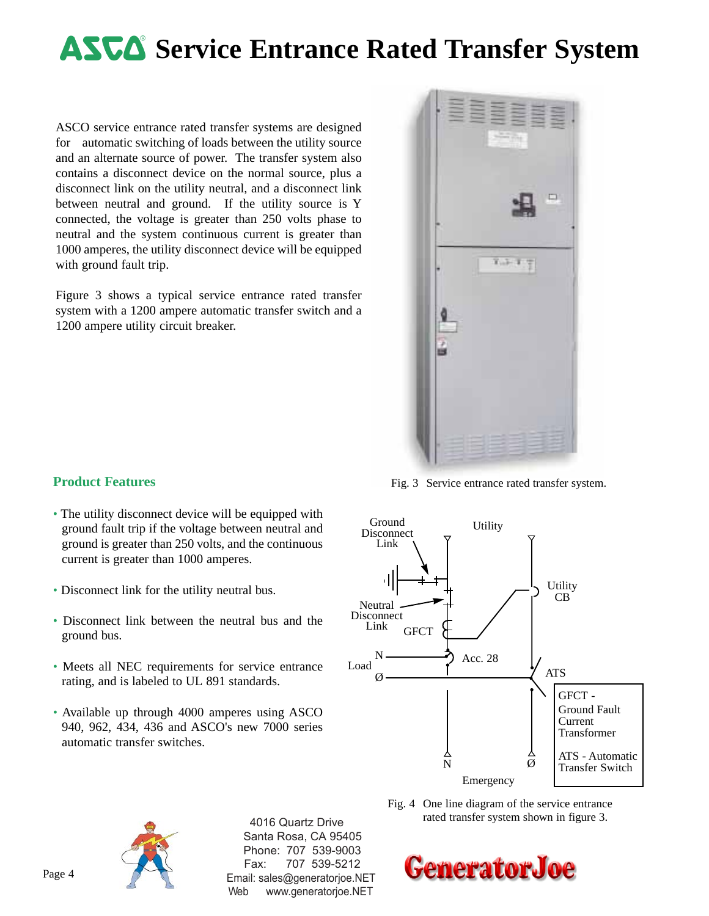### **ASUA** Service Entrance Rated Transfer System

ASCO service entrance rated transfer systems are designed for automatic switching of loads between the utility source and an alternate source of power. The transfer system also contains a disconnect device on the normal source, plus a disconnect link on the utility neutral, and a disconnect link between neutral and ground. If the utility source is Y connected, the voltage is greater than 250 volts phase to neutral and the system continuous current is greater than 1000 amperes, the utility disconnect device will be equipped with ground fault trip.

Figure 3 shows a typical service entrance rated transfer system with a 1200 ampere automatic transfer switch and a 1200 ampere utility circuit breaker.



Fig. 3 Service entrance rated transfer system.





 4016 Quartz Drive Santa Rosa, CA 95405 Phone: 707 539-9003 Fax: 707 539-5212 Email: sales@generatorjoe.NET Web www.generatorjoe.NET

#### Fig. 4 One line diagram of the service entrance rated transfer system shown in figure 3.



- The utility disconnect device will be equipped with ground fault trip if the voltage between neutral and ground is greater than 250 volts, and the continuous current is greater than 1000 amperes.
- Disconnect link for the utility neutral bus.
- Disconnect link between the neutral bus and the ground bus.
- Meets all NEC requirements for service entrance rating, and is labeled to UL 891 standards.
- Available up through 4000 amperes using ASCO 940, 962, 434, 436 and ASCO's new 7000 series automatic transfer switches.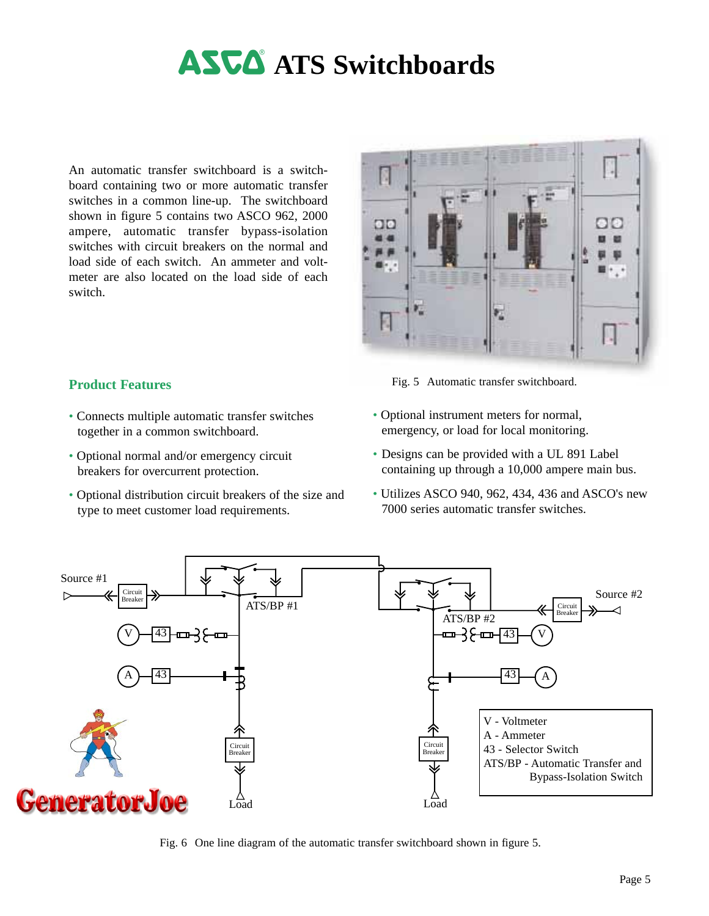# **ASCA** ATS Switchboards

An automatic transfer switchboard is a switchboard containing two or more automatic transfer switches in a common line-up. The switchboard shown in figure 5 contains two ASCO 962, 2000 ampere, automatic transfer bypass-isolation switches with circuit breakers on the normal and load side of each switch. An ammeter and voltmeter are also located on the load side of each switch.



Fig. 5 Automatic transfer switchboard.

- Connects multiple automatic transfer switches together in a common switchboard.
- Optional normal and/or emergency circuit breakers for overcurrent protection.

- Optional distribution circuit breakers of the size and type to meet customer load requirements.
- Optional instrument meters for normal, emergency, or load for local monitoring.
- Designs can be provided with a UL 891 Label containing up through a 10,000 ampere main bus.
- Utilizes ASCO 940, 962, 434, 436 and ASCO's new 7000 series automatic transfer switches.



Fig. 6 One line diagram of the automatic transfer switchboard shown in figure 5.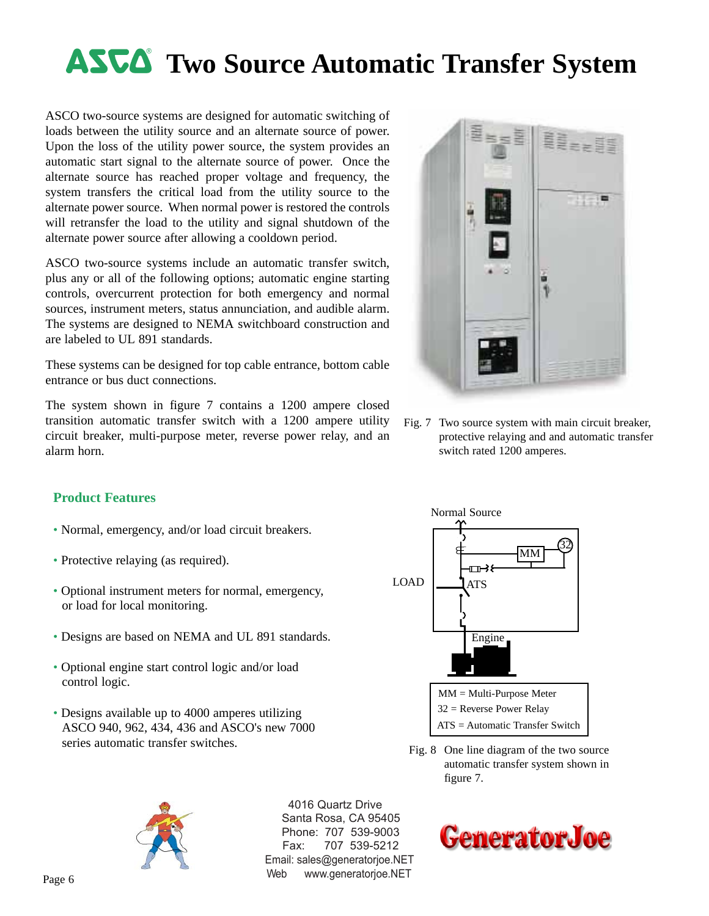# **ASUA** Two Source Automatic Transfer System

ASCO two-source systems are designed for automatic switching of loads between the utility source and an alternate source of power. Upon the loss of the utility power source, the system provides an automatic start signal to the alternate source of power. Once the alternate source has reached proper voltage and frequency, the system transfers the critical load from the utility source to the alternate power source. When normal power is restored the controls will retransfer the load to the utility and signal shutdown of the alternate power source after allowing a cooldown period.

ASCO two-source systems include an automatic transfer switch, plus any or all of the following options; automatic engine starting controls, overcurrent protection for both emergency and normal sources, instrument meters, status annunciation, and audible alarm. The systems are designed to NEMA switchboard construction and are labeled to UL 891 standards.

These systems can be designed for top cable entrance, bottom cable entrance or bus duct connections.

The system shown in figure 7 contains a 1200 ampere closed transition automatic transfer switch with a 1200 ampere utility circuit breaker, multi-purpose meter, reverse power relay, and an alarm horn.

#### **Product Features**

- Normal, emergency, and/or load circuit breakers.
- Protective relaying (as required).
- Optional instrument meters for normal, emergency, or load for local monitoring.
- Designs are based on NEMA and UL 891 standards.
- Optional engine start control logic and/or load control logic.
- Designs available up to 4000 amperes utilizing ASCO 940, 962, 434, 436 and ASCO's new 7000 series automatic transfer switches.



 4016 Quartz Drive Santa Rosa, CA 95405 Phone: 707 539-9003 Fax: 707 539-5212 Email: sales@generatorjoe.NET Web www.generatorjoe.NET



Fig. 7 Two source system with main circuit breaker, protective relaying and and automatic transfer switch rated 1200 amperes.



Fig. 8 One line diagram of the two source automatic transfer system shown in figure 7.

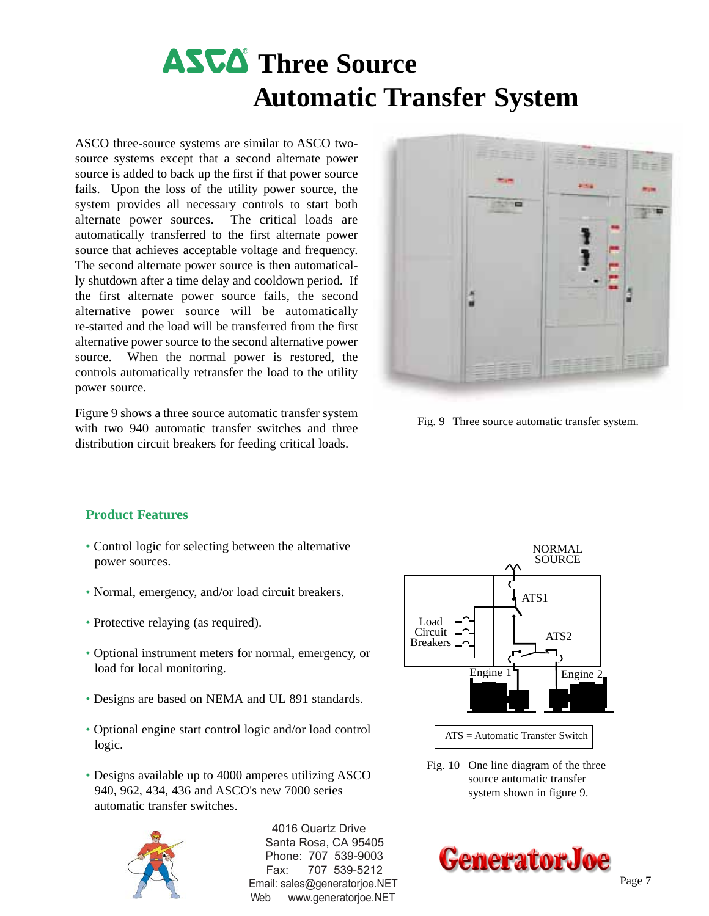# **ASCA** Three Source **Automatic Transfer System**

ASCO three-source systems are similar to ASCO twosource systems except that a second alternate power source is added to back up the first if that power source fails. Upon the loss of the utility power source, the system provides all necessary controls to start both alternate power sources. The critical loads are automatically transferred to the first alternate power source that achieves acceptable voltage and frequency. The second alternate power source is then automatically shutdown after a time delay and cooldown period. If the first alternate power source fails, the second alternative power source will be automatically re-started and the load will be transferred from the first alternative power source to the second alternative power source. When the normal power is restored, the controls automatically retransfer the load to the utility power source.

Figure 9 shows a three source automatic transfer system with two 940 automatic transfer switches and three distribution circuit breakers for feeding critical loads.



Fig. 9 Three source automatic transfer system.

#### **Product Features**

- Control logic for selecting between the alternative power sources.
- Normal, emergency, and/or load circuit breakers.
- Protective relaying (as required).
- Optional instrument meters for normal, emergency, or load for local monitoring.
- Designs are based on NEMA and UL 891 standards.
- Optional engine start control logic and/or load control logic.
- Designs available up to 4000 amperes utilizing ASCO 940, 962, 434, 436 and ASCO's new 7000 series automatic transfer switches.



 4016 Quartz Drive Santa Rosa, CA 95405 Phone: 707 539-9003 Fax: 707 539-5212 Email: sales@generatorjoe.NET Web www.generatorjoe.NET



ATS = Automatic Transfer Switch

Fig. 10 One line diagram of the three source automatic transfer system shown in figure 9.

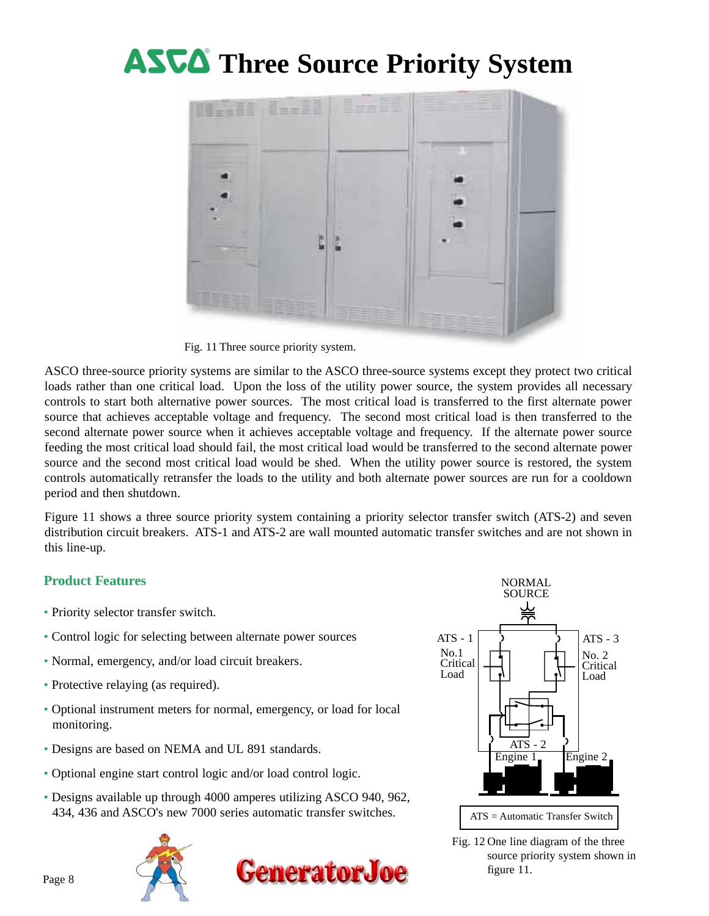# **ASCA** Three Source Priority System



Fig. 11 Three source priority system.

ASCO three-source priority systems are similar to the ASCO three-source systems except they protect two critical loads rather than one critical load. Upon the loss of the utility power source, the system provides all necessary controls to start both alternative power sources. The most critical load is transferred to the first alternate power source that achieves acceptable voltage and frequency. The second most critical load is then transferred to the second alternate power source when it achieves acceptable voltage and frequency. If the alternate power source feeding the most critical load should fail, the most critical load would be transferred to the second alternate power source and the second most critical load would be shed. When the utility power source is restored, the system controls automatically retransfer the loads to the utility and both alternate power sources are run for a cooldown period and then shutdown.

Figure 11 shows a three source priority system containing a priority selector transfer switch (ATS-2) and seven distribution circuit breakers. ATS-1 and ATS-2 are wall mounted automatic transfer switches and are not shown in this line-up.

- Priority selector transfer switch.
- Control logic for selecting between alternate power sources
- Normal, emergency, and/or load circuit breakers.
- Protective relaying (as required).
- Optional instrument meters for normal, emergency, or load for local monitoring.
- Designs are based on NEMA and UL 891 standards.
- Optional engine start control logic and/or load control logic.
- Designs available up through 4000 amperes utilizing ASCO 940, 962, 434, 436 and ASCO's new 7000 series automatic transfer switches.







Fig. 12 One line diagram of the three source priority system shown in figure 11.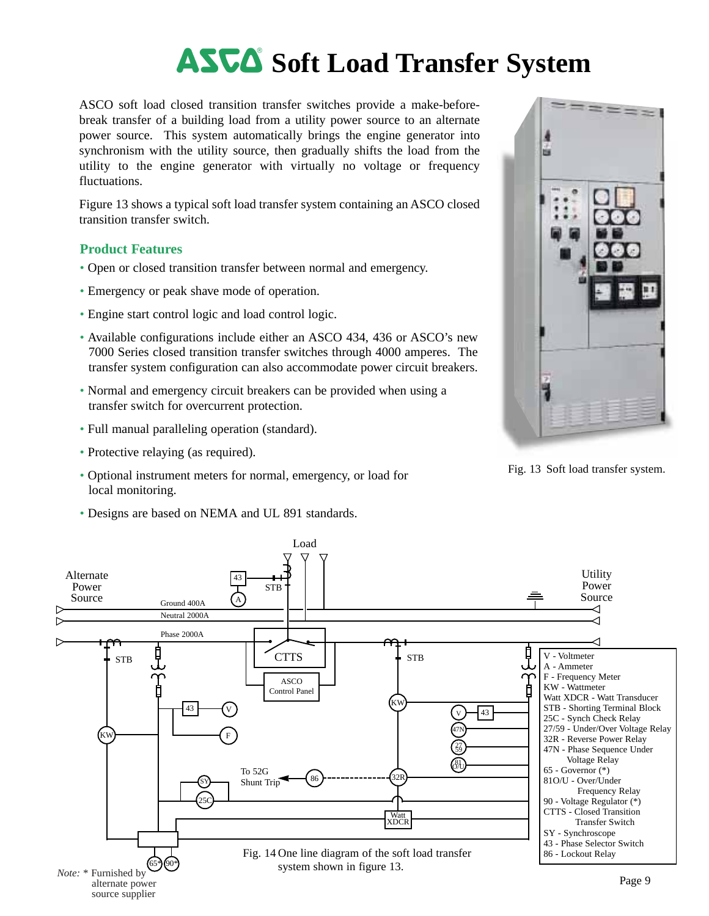## **ASCA** Soft Load Transfer System

ASCO soft load closed transition transfer switches provide a make-beforebreak transfer of a building load from a utility power source to an alternate power source. This system automatically brings the engine generator into synchronism with the utility source, then gradually shifts the load from the utility to the engine generator with virtually no voltage or frequency fluctuations.

Figure 13 shows a typical soft load transfer system containing an ASCO closed transition transfer switch.

- Open or closed transition transfer between normal and emergency.
- Emergency or peak shave mode of operation.
- Engine start control logic and load control logic.
- Available configurations include either an ASCO 434, 436 or ASCO's new 7000 Series closed transition transfer switches through 4000 amperes. The transfer system configuration can also accommodate power circuit breakers.
- Normal and emergency circuit breakers can be provided when using a transfer switch for overcurrent protection.
- Full manual paralleling operation (standard).
- Protective relaying (as required).
- Optional instrument meters for normal, emergency, or load for local monitoring.
- Designs are based on NEMA and UL 891 standards.



Fig. 13 Soft load transfer system.

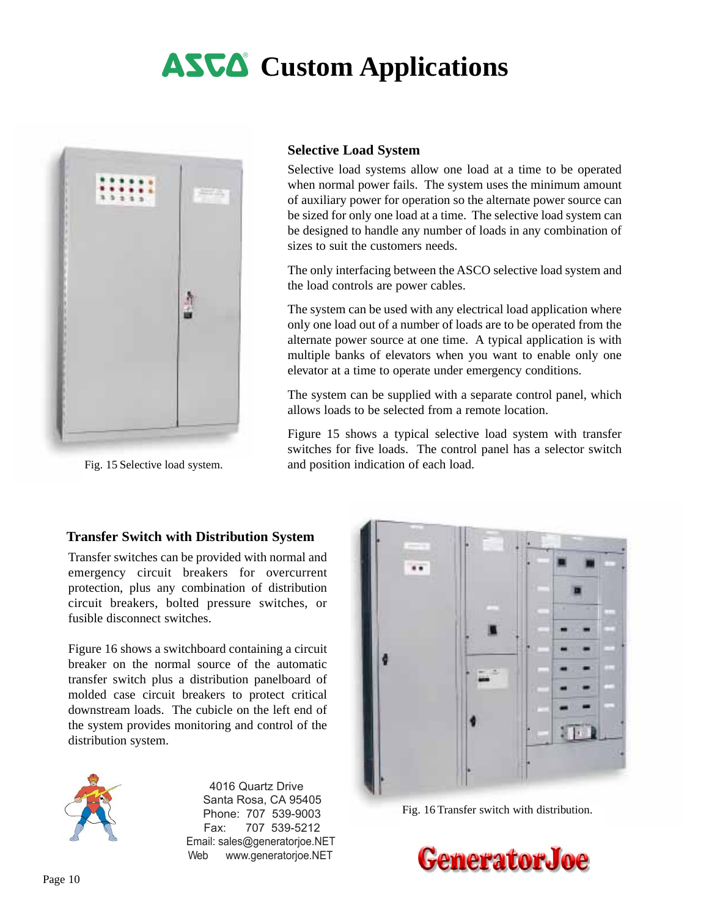# **ASCA** Custom Applications



Fig. 15 Selective load system.

#### **Selective Load System**

Selective load systems allow one load at a time to be operated when normal power fails. The system uses the minimum amount of auxiliary power for operation so the alternate power source can be sized for only one load at a time. The selective load system can be designed to handle any number of loads in any combination of sizes to suit the customers needs.

The only interfacing between the ASCO selective load system and the load controls are power cables.

The system can be used with any electrical load application where only one load out of a number of loads are to be operated from the alternate power source at one time. A typical application is with multiple banks of elevators when you want to enable only one elevator at a time to operate under emergency conditions.

The system can be supplied with a separate control panel, which allows loads to be selected from a remote location.

Figure 15 shows a typical selective load system with transfer switches for five loads. The control panel has a selector switch and position indication of each load.

#### **Transfer Switch with Distribution System**

Transfer switches can be provided with normal and emergency circuit breakers for overcurrent protection, plus any combination of distribution circuit breakers, bolted pressure switches, or fusible disconnect switches.

Figure 16 shows a switchboard containing a circuit breaker on the normal source of the automatic transfer switch plus a distribution panelboard of molded case circuit breakers to protect critical downstream loads. The cubicle on the left end of the system provides monitoring and control of the distribution system.



 4016 Quartz Drive Santa Rosa, CA 95405 Phone: 707 539-9003 Fax: 707 539-5212 Email: sales@generatorjoe.NET Web www.generatorjoe.NET



Fig. 16 Transfer switch with distribution.